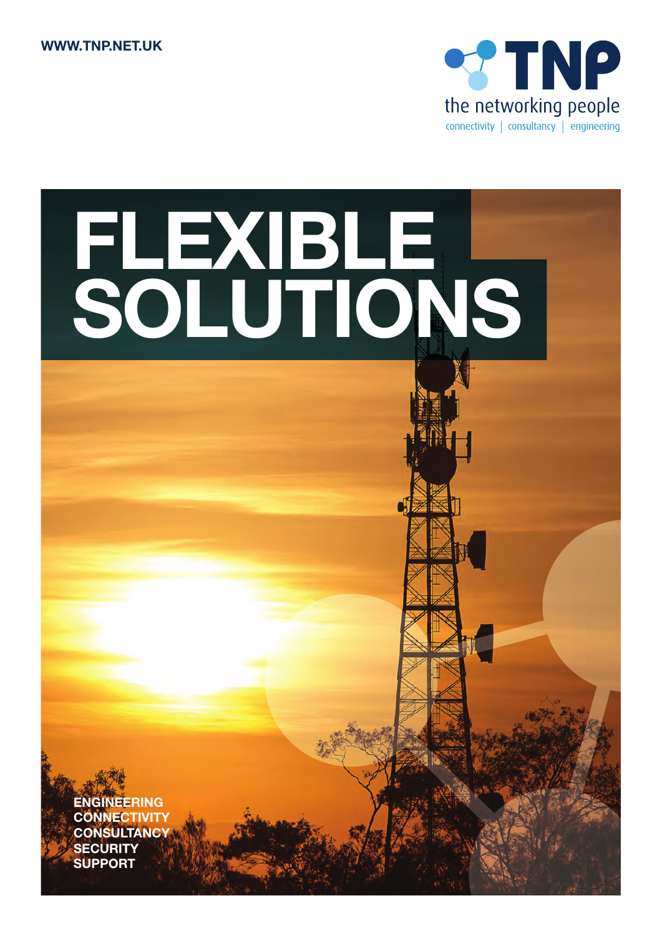